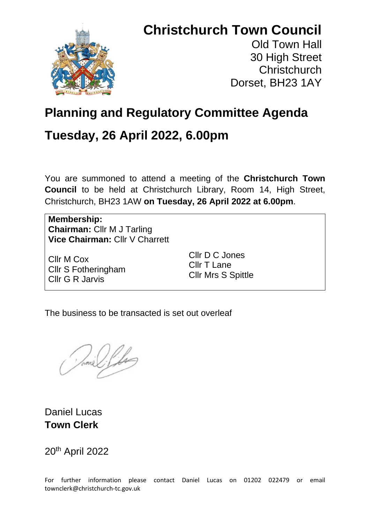

# **Christchurch Town Council**

Old Town Hall 30 High Street **Christchurch** Dorset, BH23 1AY

## **Planning and Regulatory Committee Agenda**

## **Tuesday, 26 April 2022, 6.00pm**

You are summoned to attend a meeting of the **Christchurch Town Council** to be held at Christchurch Library, Room 14, High Street, Christchurch, BH23 1AW **on Tuesday, 26 April 2022 at 6.00pm**.

**Membership: Chairman:** Cllr M J Tarling **Vice Chairman:** Cllr V Charrett

Cllr M Cox Cllr S Fotheringham Cllr G R Jarvis

Cllr D C Jones Cllr T Lane Cllr Mrs S Spittle

The business to be transacted is set out overleaf

Daniel Lucas **Town Clerk**

20th April 2022

For further information please contact Daniel Lucas on 01202 022479 or email townclerk@christchurch-tc.gov.uk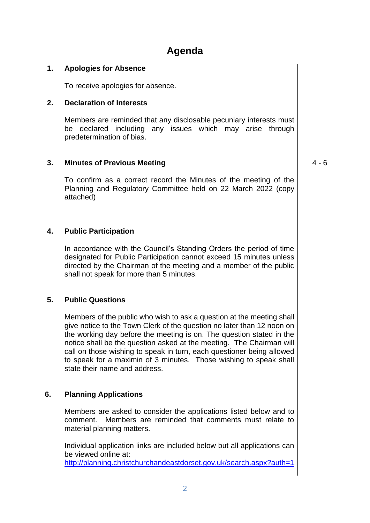## **Agenda**

#### **1. Apologies for Absence**

To receive apologies for absence.

#### **2. Declaration of Interests**

Members are reminded that any disclosable pecuniary interests must be declared including any issues which may arise through predetermination of bias.

#### **3. Minutes of Previous Meeting**

To confirm as a correct record the Minutes of the meeting of the Planning and Regulatory Committee held on 22 March 2022 (copy attached)

#### **4. Public Participation**

In accordance with the Council's Standing Orders the period of time designated for Public Participation cannot exceed 15 minutes unless directed by the Chairman of the meeting and a member of the public shall not speak for more than 5 minutes.

#### **5. Public Questions**

Members of the public who wish to ask a question at the meeting shall give notice to the Town Clerk of the question no later than 12 noon on the working day before the meeting is on. The question stated in the notice shall be the question asked at the meeting. The Chairman will call on those wishing to speak in turn, each questioner being allowed to speak for a maximin of 3 minutes. Those wishing to speak shall state their name and address.

#### **6. Planning Applications**

Members are asked to consider the applications listed below and to comment. Members are reminded that comments must relate to material planning matters.

Individual application links are included below but all applications can be viewed online at:

<http://planning.christchurchandeastdorset.gov.uk/search.aspx?auth=1>

 $4 - 6$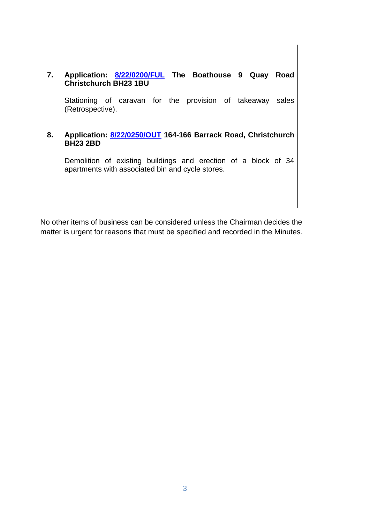#### **7. Application: [8/22/0200/FUL](https://planning.christchurchandeastdorset.gov.uk/plandisp.aspx?recno=117376) The Boathouse 9 Quay Road Christchurch BH23 1BU**

Stationing of caravan for the provision of takeaway sales (Retrospective).

#### **8. Application: [8/22/0250/OUT](https://planning.christchurchandeastdorset.gov.uk/plandisp.aspx?recno=117426) 164-166 Barrack Road, Christchurch BH23 2BD**

Demolition of existing buildings and erection of a block of 34 apartments with associated bin and cycle stores.

No other items of business can be considered unless the Chairman decides the matter is urgent for reasons that must be specified and recorded in the Minutes.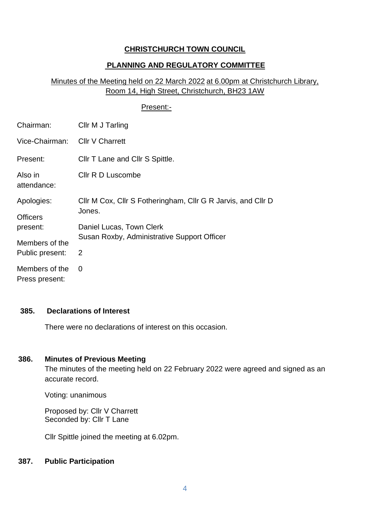### **CHRISTCHURCH TOWN COUNCIL**

### **PLANNING AND REGULATORY COMMITTEE**

### Minutes of the Meeting held on 22 March 2022 at 6.00pm at Christchurch Library, Room 14, High Street, Christchurch, BH23 1AW

#### Present:-

| Chairman:                        | Cllr M J Tarling                                             |
|----------------------------------|--------------------------------------------------------------|
| Vice-Chairman:                   | <b>Cllr V Charrett</b>                                       |
| Present:                         | CIIr T Lane and CIIr S Spittle.                              |
| Also in<br>attendance:           | <b>CIIr R D Luscombe</b>                                     |
| Apologies:                       | Cllr M Cox, Cllr S Fotheringham, Cllr G R Jarvis, and Cllr D |
| <b>Officers</b>                  | Jones.                                                       |
| present:                         | Daniel Lucas, Town Clerk                                     |
| Members of the                   | Susan Roxby, Administrative Support Officer                  |
| Public present:                  | 2                                                            |
| Members of the<br>Press present: | $\Omega$                                                     |

#### **385. Declarations of Interest**

There were no declarations of interest on this occasion.

#### **386. Minutes of Previous Meeting**

The minutes of the meeting held on 22 February 2022 were agreed and signed as an accurate record.

Voting: unanimous

Proposed by: Cllr V Charrett Seconded by: Cllr T Lane

Cllr Spittle joined the meeting at 6.02pm.

#### **387. Public Participation**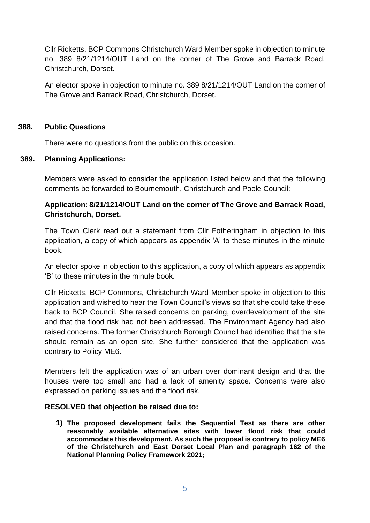Cllr Ricketts, BCP Commons Christchurch Ward Member spoke in objection to minute no. 389 8/21/1214/OUT Land on the corner of The Grove and Barrack Road, Christchurch, Dorset.

An elector spoke in objection to minute no. 389 8/21/1214/OUT Land on the corner of The Grove and Barrack Road, Christchurch, Dorset.

#### **388. Public Questions**

There were no questions from the public on this occasion.

#### **389. Planning Applications:**

Members were asked to consider the application listed below and that the following comments be forwarded to Bournemouth, Christchurch and Poole Council:

### **Application: 8/21/1214/OUT Land on the corner of The Grove and Barrack Road, Christchurch, Dorset.**

The Town Clerk read out a statement from Cllr Fotheringham in objection to this application, a copy of which appears as appendix 'A' to these minutes in the minute book.

An elector spoke in objection to this application, a copy of which appears as appendix 'B' to these minutes in the minute book.

Cllr Ricketts, BCP Commons, Christchurch Ward Member spoke in objection to this application and wished to hear the Town Council's views so that she could take these back to BCP Council. She raised concerns on parking, overdevelopment of the site and that the flood risk had not been addressed. The Environment Agency had also raised concerns. The former Christchurch Borough Council had identified that the site should remain as an open site. She further considered that the application was contrary to Policy ME6.

Members felt the application was of an urban over dominant design and that the houses were too small and had a lack of amenity space. Concerns were also expressed on parking issues and the flood risk.

#### **RESOLVED that objection be raised due to:**

**1) The proposed development fails the Sequential Test as there are other reasonably available alternative sites with lower flood risk that could accommodate this development. As such the proposal is contrary to policy ME6 of the Christchurch and East Dorset Local Plan and paragraph 162 of the National Planning Policy Framework 2021;**